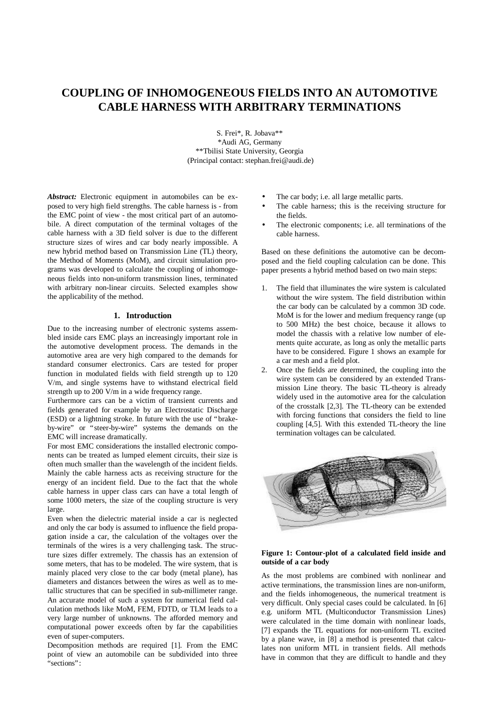# **COUPLING OF INHOMOGENEOUS FIELDS INTO AN AUTOMOTIVE CABLE HARNESS WITH ARBITRARY TERMINATIONS**

S. Frei\*, R. Jobava\*\* \*Audi AG, Germany \*\*Tbilisi State University, Georgia (Principal contact: stephan.frei@audi.de)

*Abstract:* Electronic equipment in automobiles can be exposed to very high field strengths. The cable harness is - from the EMC point of view - the most critical part of an automobile. A direct computation of the terminal voltages of the cable harness with a 3D field solver is due to the different structure sizes of wires and car body nearly impossible. A new hybrid method based on Transmission Line (TL) theory, the Method of Moments (MoM), and circuit simulation programs was developed to calculate the coupling of inhomogeneous fields into non-uniform transmission lines, terminated with arbitrary non-linear circuits. Selected examples show the applicability of the method.

# **1. Introduction**

Due to the increasing number of electronic systems assembled inside cars EMC plays an increasingly important role in the automotive development process. The demands in the automotive area are very high compared to the demands for standard consumer electronics. Cars are tested for proper function in modulated fields with field strength up to 120 V/m, and single systems have to withstand electrical field strength up to 200 V/m in a wide frequency range.

Furthermore cars can be a victim of transient currents and fields generated for example by an Electrostatic Discharge (ESD) or a lightning stroke. In future with the use of "brakeby-wire" or "steer-by-wire" systems the demands on the EMC will increase dramatically.

For most EMC considerations the installed electronic components can be treated as lumped element circuits, their size is often much smaller than the wavelength of the incident fields. Mainly the cable harness acts as receiving structure for the energy of an incident field. Due to the fact that the whole cable harness in upper class cars can have a total length of some 1000 meters, the size of the coupling structure is very large.

Even when the dielectric material inside a car is neglected and only the car body is assumed to influence the field propagation inside a car, the calculation of the voltages over the terminals of the wires is a very challenging task. The structure sizes differ extremely. The chassis has an extension of some meters, that has to be modeled. The wire system, that is mainly placed very close to the car body (metal plane), has diameters and distances between the wires as well as to metallic structures that can be specified in sub-millimeter range. An accurate model of such a system for numerical field calculation methods like MoM, FEM, FDTD, or TLM leads to a very large number of unknowns. The afforded memory and computational power exceeds often by far the capabilities even of super-computers.

Decomposition methods are required [1]. From the EMC point of view an automobile can be subdivided into three "sections":

- The car body; i.e. all large metallic parts.
- The cable harness; this is the receiving structure for the fields.
- The electronic components; i.e. all terminations of the cable harness.

Based on these definitions the automotive can be decomposed and the field coupling calculation can be done. This paper presents a hybrid method based on two main steps:

- 1. The field that illuminates the wire system is calculated without the wire system. The field distribution within the car body can be calculated by a common 3D code. MoM is for the lower and medium frequency range (up to 500 MHz) the best choice, because it allows to model the chassis with a relative low number of elements quite accurate, as long as only the metallic parts have to be considered. Figure 1 shows an example for a car mesh and a field plot.
- 2. Once the fields are determined, the coupling into the wire system can be considered by an extended Transmission Line theory. The basic TL-theory is already widely used in the automotive area for the calculation of the crosstalk [2,3]. The TL-theory can be extended with forcing functions that considers the field to line coupling [4,5]. With this extended TL-theory the line termination voltages can be calculated.



## **Figure 1: Contour-plot of a calculated field inside and outside of a car body**

As the most problems are combined with nonlinear and active terminations, the transmission lines are non-uniform, and the fields inhomogeneous, the numerical treatment is very difficult. Only special cases could be calculated. In [6] e.g. uniform MTL (Multiconductor Transmission Lines) were calculated in the time domain with nonlinear loads, [7] expands the TL equations for non-uniform TL excited by a plane wave, in [8] a method is presented that calculates non uniform MTL in transient fields. All methods have in common that they are difficult to handle and they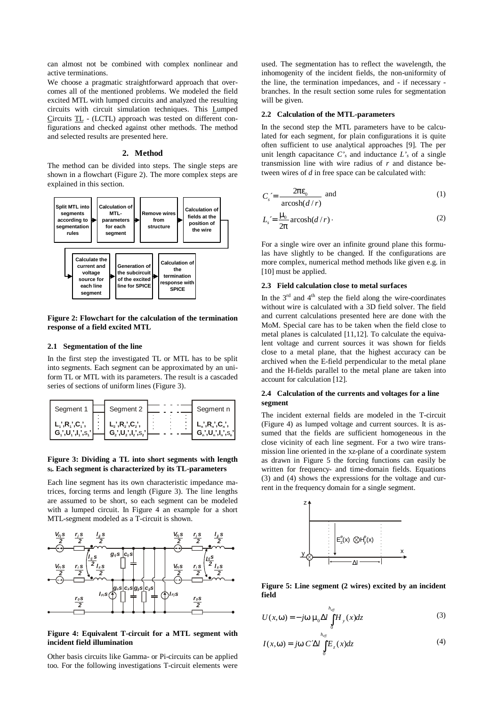can almost not be combined with complex nonlinear and active terminations.

We choose a pragmatic straightforward approach that overcomes all of the mentioned problems. We modeled the field excited MTL with lumped circuits and analyzed the resulting circuits with circuit simulation techniques. This Lumped Circuits TL - (LCTL) approach was tested on different configurations and checked against other methods. The method and selected results are presented here.

# **2. Method**

The method can be divided into steps. The single steps are shown in a flowchart (Figure 2). The more complex steps are explained in this section.



# **Figure 2: Flowchart for the calculation of the termination response of a field excited MTL**

## **2.1 Segmentation of the line**

In the first step the investigated TL or MTL has to be split into segments. Each segment can be approximated by an uniform TL or MTL with its parameters. The result is a cascaded series of sections of uniform lines (Figure 3).

| Segment 1                                                                          | Segment 2                                  | Segment n                                              |
|------------------------------------------------------------------------------------|--------------------------------------------|--------------------------------------------------------|
| $L_i$ ', R <sub>1</sub> ', C <sub>1</sub> ',<br>$G_1$ ', $U_1$ ', $I_1$ ', $S_1$ ' | $  L_2, R_2, C_2,$<br>$G_2, U_2, I_2, S_2$ | $L_n$ ', $R_n$ ', $C_n$ ',<br>$G_n', U_n', I_n', S_n'$ |

# **Figure 3: Dividing a TL into short segments with length si. Each segment is characterized by its TL-parameters**

Each line segment has its own characteristic impedance matrices, forcing terms and length (Figure 3). The line lengths are assumed to be short, so each segment can be modeled with a lumped circuit. In Figure 4 an example for a short MTL-segment modeled as a T-circuit is shown.



# **Figure 4: Equivalent T-circuit for a MTL segment with incident field illumination**

Other basis circuits like Gamma- or Pi-circuits can be applied too. For the following investigations T-circuit elements were used. The segmentation has to reflect the wavelength, the inhomogenity of the incident fields, the non-uniformity of the line, the termination impedances, and - if necessary branches. In the result section some rules for segmentation will be given.

## **2.2 Calculation of the MTL-parameters**

In the second step the MTL parameters have to be calculated for each segment, for plain configurations it is quite often sufficient to use analytical approaches [9]. The per unit length capacitance  $C<sub>s</sub>$  and inductance  $L<sub>s</sub>$  of a single transmission line with wire radius of *r* and distance between wires of *d* in free space can be calculated with:

$$
C_s = \frac{2\mathbf{p}_0}{\operatorname{arcosh}(d/r)} \text{ and } \tag{1}
$$

$$
L_s = \frac{m_0}{2p} \operatorname{arcosh}(d/r)
$$
 (2)

For a single wire over an infinite ground plane this formulas have slightly to be changed. If the configurations are more complex, numerical method methods like given e.g. in [10] must be applied.

## **2.3 Field calculation close to metal surfaces**

In the  $3^{rd}$  and  $4^{th}$  step the field along the wire-coordinates without wire is calculated with a 3D field solver. The field and current calculations presented here are done with the MoM. Special care has to be taken when the field close to metal planes is calculated [11,12]. To calculate the equivalent voltage and current sources it was shown for fields close to a metal plane, that the highest accuracy can be archived when the E-field perpendicular to the metal plane and the H-fields parallel to the metal plane are taken into account for calculation [12].

# **2.4 Calculation of the currents and voltages for a line segment**

The incident external fields are modeled in the T-circuit (Figure 4) as lumped voltage and current sources. It is assumed that the fields are sufficient homogeneous in the close vicinity of each line segment. For a two wire transmission line oriented in the xz-plane of a coordinate system as drawn in Figure 5 the forcing functions can easily be written for frequency- and time-domain fields. Equations (3) and (4) shows the expressions for the voltage and current in the frequency domain for a single segment.



**Figure 5: Line segment (2 wires) excited by an incident field**

$$
U(x, \mathbf{w}) = -j\mathbf{w} \mathbf{m}_0 \Delta l \int_0^{h_{\text{eff}}} H_y(x) dz
$$
 (3)

$$
I(x, \mathbf{w}) = j\mathbf{w} \ C'\Delta l \int_{0}^{h_{\text{eff}}} E_z(x) dz \tag{4}
$$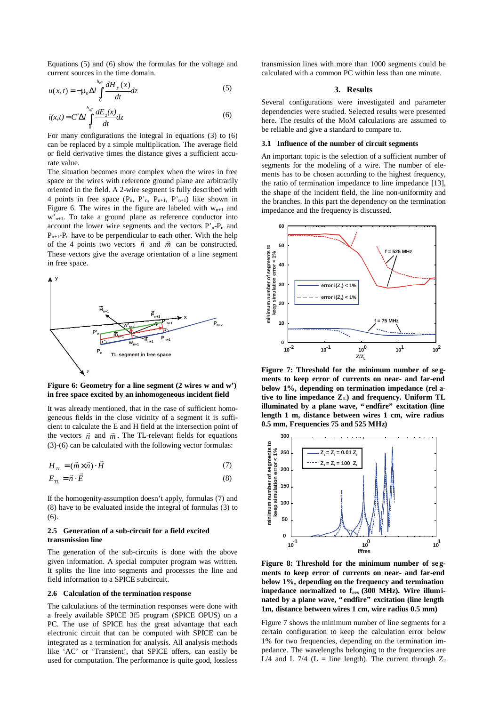Equations (5) and (6) show the formulas for the voltage and current sources in the time domain.

$$
u(x,t) = -\mathbf{m}_0 \Delta t \int_0^{h_{\text{eff}}} \frac{dH_y(x)}{dt} dz
$$
 (5)

$$
i(x,t) = C'\Delta l \int_{0}^{h_{eff}} \frac{dE_z(x)}{dt} dz
$$
\n(6)

For many configurations the integral in equations (3) to (6) can be replaced by a simple multiplication. The average field or field derivative times the distance gives a sufficient accurate value.

The situation becomes more complex when the wires in free space or the wires with reference ground plane are arbitrarily oriented in the field. A 2-wire segment is fully described with 4 points in free space  $(P_n, P_n, P_{n+1}, P_{n+1})$  like shown in Figure 6. The wires in the figure are labeled with  $w_{n+1}$  and  $w'_{n+1}$ . To take a ground plane as reference conductor into account the lower wire segments and the vectors  $P'_{n}-P_{n}$  and  $P_{n+1}-P_n$  have to be perpendicular to each other. With the help of the 4 points two vectors  $\vec{n}$  and  $\vec{m}$  can be constructed. These vectors give the average orientation of a line segment in free space.



**Figure 6: Geometry for a line segment (2 wires w and w') in free space excited by an inhomogeneous incident field**

It was already mentioned, that in the case of sufficient homogeneous fields in the close vicinity of a segment it is sufficient to calculate the E and H field at the intersection point of the vectors  $\vec{n}$  and  $\vec{m}$ . The TL-relevant fields for equations (3)-(6) can be calculated with the following vector formulas:

$$
H_{\underline{n}} = (\vec{m} \times \vec{n}) \cdot \vec{H} \tag{7}
$$

$$
E_{\mathcal{I}L} = \vec{n} \cdot \vec{E} \tag{8}
$$

If the homogenity-assumption doesn't apply, formulas (7) and (8) have to be evaluated inside the integral of formulas (3) to (6).

#### **2.5 Generation of a sub-circuit for a field excited transmission line**

The generation of the sub-circuits is done with the above given information. A special computer program was written. It splits the line into segments and processes the line and field information to a SPICE subcircuit.

#### **2.6 Calculation of the termination response**

The calculations of the termination responses were done with a freely available SPICE 3f5 program (SPICE OPUS) on a PC. The use of SPICE has the great advantage that each electronic circuit that can be computed with SPICE can be integrated as a termination for analysis. All analysis methods like 'AC' or 'Transient', that SPICE offers, can easily be used for computation. The performance is quite good, lossless transmission lines with more than 1000 segments could be calculated with a common PC within less than one minute.

## **3. Results**

Several configurations were investigated and parameter dependencies were studied. Selected results were presented here. The results of the MoM calculations are assumed to be reliable and give a standard to compare to.

#### **3.1 Influence of the number of circuit segments**

An important topic is the selection of a sufficient number of segments for the modeling of a wire. The number of elements has to be chosen according to the highest frequency, the ratio of termination impedance to line impedance [13], the shape of the incident field, the line non-uniformity and the branches. In this part the dependency on the termination impedance and the frequency is discussed.



Figure 7: Threshold for the minimum number of seg**ments to keep error of currents on near- and far-end below 1%, depending on termination impedance (rel ative to line impedance ZL) and frequency. Uniform TL illuminated by a plane wave, "endfire" excitation (line length 1 m, distance between wires 1 cm, wire radius 0.5 mm, Frequencies 75 and 525 MHz)**



Figure 8: Threshold for the minimum number of seg**ments to keep error of currents on near- and far-end below 1%, depending on the frequency and termination impedance normalized to fres (300 MHz). Wire illuminated by a plane wave, "endfire" excitation (line length 1m, distance between wires 1 cm, wire radius 0.5 mm)**

Figure 7 shows the minimum number of line segments for a certain configuration to keep the calculation error below 1% for two frequencies, depending on the termination impedance. The wavelengths belonging to the frequencies are L/4 and L 7/4 (L = line length). The current through  $Z_2$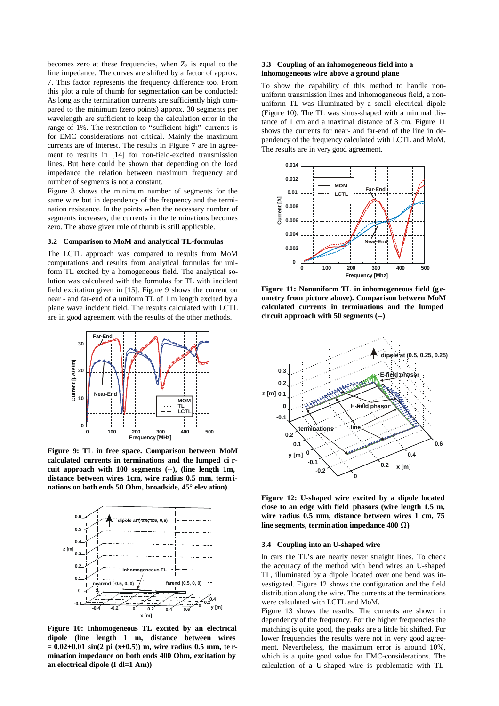becomes zero at these frequencies, when  $Z_2$  is equal to the line impedance. The curves are shifted by a factor of approx. 7. This factor represents the frequency difference too. From this plot a rule of thumb for segmentation can be conducted: As long as the termination currents are sufficiently high compared to the minimum (zero points) approx. 30 segments per wavelength are sufficient to keep the calculation error in the range of 1%. The restriction to "sufficient high" currents is for EMC considerations not critical. Mainly the maximum currents are of interest. The results in Figure 7 are in agreement to results in [14] for non-field-excited transmission lines. But here could be shown that depending on the load impedance the relation between maximum frequency and number of segments is not a constant.

Figure 8 shows the minimum number of segments for the same wire but in dependency of the frequency and the termination resistance. In the points when the necessary number of segments increases, the currents in the terminations becomes zero. The above given rule of thumb is still applicable.

#### **3.2 Comparison to MoM and analytical TL-formulas**

The LCTL approach was compared to results from MoM computations and results from analytical formulas for uniform TL excited by a homogeneous field. The analytical solution was calculated with the formulas for TL with incident field excitation given in [15]. Figure 9 shows the current on near - and far-end of a uniform TL of 1 m length excited by a plane wave incident field. The results calculated with LCTL are in good agreement with the results of the other methods.



**Figure 9: TL in free space. Comparison between MoM calculated currents in terminations and the lumped ci rcuit approach with 100 segments (--), (line length 1m, distance between wires 1cm, wire radius 0.5 mm, term inations on both ends 50 Ohm, broadside, 45° elev ation)**



**Figure 10: Inhomogeneous TL excited by an electrical dipole (line length 1 m, distance between wires = 0.02+0.01 sin(2 pi (x+0.5)) m, wire radius 0.5 mm, te rmination impedance on both ends 400 Ohm, excitation by an electrical dipole (I dl=1 Am))**

# **3.3 Coupling of an inhomogeneous field into a inhomogeneous wire above a ground plane**

To show the capability of this method to handle nonuniform transmission lines and inhomogeneous field, a nonuniform TL was illuminated by a small electrical dipole (Figure 10). The TL was sinus-shaped with a minimal distance of 1 cm and a maximal distance of 3 cm. Figure 11 shows the currents for near- and far-end of the line in dependency of the frequency calculated with LCTL and MoM. The results are in very good agreement.



**Figure 11: Nonuniform TL in inhomogeneous field (g eometry from picture above). Comparison between MoM calculated currents in terminations and the lumped circuit approach with 50 segments (--)**



**Figure 12: U-shaped wire excited by a dipole located close to an edge with field phasors (wire length 1.5 m, wire radius 0.5 mm, distance between wires 1 cm, 75 line segments, termination impedance 400 W)**

## **3.4 Coupling into an U-shaped wire**

In cars the TL's are nearly never straight lines. To check the accuracy of the method with bend wires an U-shaped TL, illuminated by a dipole located over one bend was investigated. Figure 12 shows the configuration and the field distribution along the wire. The currents at the terminations were calculated with LCTL and MoM.

Figure 13 shows the results. The currents are shown in dependency of the frequency. For the higher frequencies the matching is quite good, the peaks are a little bit shifted. For lower frequencies the results were not in very good agreement. Nevertheless, the maximum error is around 10%, which is a quite good value for EMC-considerations. The calculation of a U-shaped wire is problematic with TL-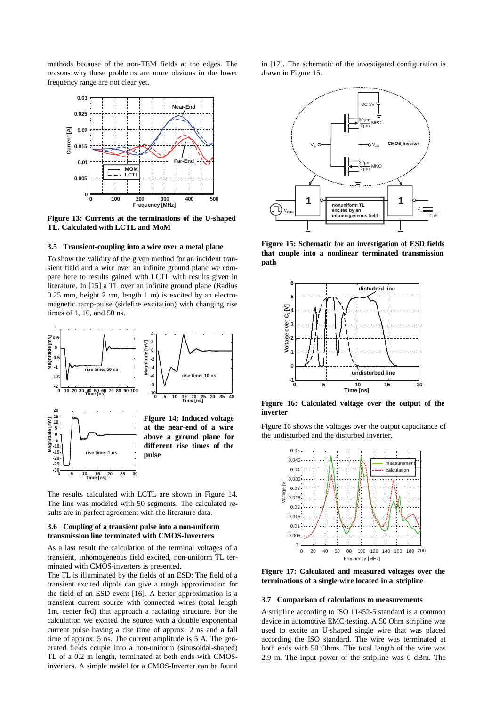methods because of the non-TEM fields at the edges. The reasons why these problems are more obvious in the lower frequency range are not clear yet.



**Figure 13: Currents at the terminations of the U-shaped TL. Calculated with LCTL and MoM**

#### **3.5 Transient-coupling into a wire over a metal plane**

To show the validity of the given method for an incident transient field and a wire over an infinite ground plane we compare here to results gained with LCTL with results given in literature. In [15] a TL over an infinite ground plane (Radius 0.25 mm, height 2 cm, length 1 m) is excited by an electromagnetic ramp-pulse (sidefire excitation) with changing rise times of 1, 10, and 50 ns.



**0 5 10 15 20 25 30 Time [ns] rise time: 1 ns different rise times of the pulse**

**-30 -25 -20 -15**

The results calculated with LCTL are shown in Figure 14. The line was modeled with 50 segments. The calculated results are in perfect agreement with the literature data.

# **3.6 Coupling of a transient pulse into a non-uniform transmission line terminated with CMOS-Inverters**

As a last result the calculation of the terminal voltages of a transient, inhomogeneous field excited, non-uniform TL terminated with CMOS-inverters is presented.

The TL is illuminated by the fields of an ESD: The field of a transient excited dipole can give a rough approximation for the field of an ESD event [16]. A better approximation is a transient current source with connected wires (total length 1m, center fed) that approach a radiating structure. For the calculation we excited the source with a double exponential current pulse having a rise time of approx. 2 ns and a fall time of approx. 5 ns. The current amplitude is 5 A. The generated fields couple into a non-uniform (sinusoidal-shaped) TL of a 0.2 m length, terminated at both ends with CMOSinverters. A simple model for a CMOS-Inverter can be found in [17]. The schematic of the investigated configuration is drawn in Figure 15.



**Figure 15: Schematic for an investigation of ESD fields that couple into a nonlinear terminated transmission path**



**Figure 16: Calculated voltage over the output of the inverter**

Figure 16 shows the voltages over the output capacitance of the undisturbed and the disturbed inverter.



**Figure 17: Calculated and measured voltages over the terminations of a single wire located in a stripline**

#### **3.7 Comparison of calculations to measurements**

A stripline according to ISO 11452-5 standard is a common device in automotive EMC-testing. A 50 Ohm stripline was used to excite an U-shaped single wire that was placed according the ISO standard. The wire was terminated at both ends with 50 Ohms. The total length of the wire was 2.9 m. The input power of the stripline was 0 dBm. The